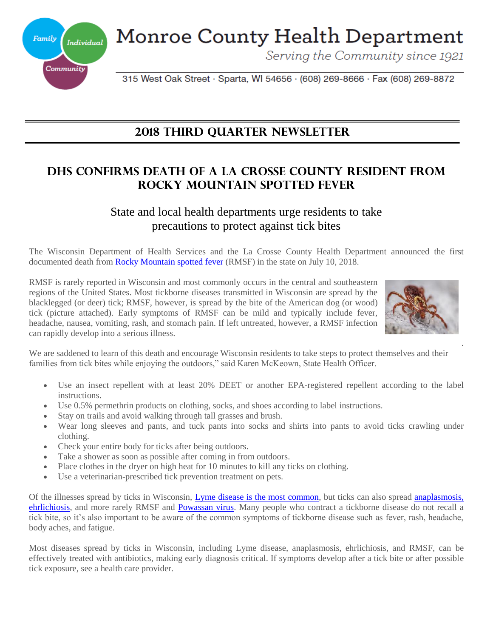**Monroe County Health Department** 



Serving the Community since 1921

315 West Oak Street · Sparta, WI 54656 · (608) 269-8666 · Fax (608) 269-8872

## **2018 THIRD QuarteR Newsletter**

## **DHS CONFIRMS DEATH OF A LA CROSSE COUNTY RESIDENT FROM ROCKY MOUNTAIN SPOTTED FEVER**

## State and local health departments urge residents to take precautions to protect against tick bites

The Wisconsin Department of Health Services and the La Crosse County Health Department announced the first documented death from **Rocky Mountain spotted fever** (RMSF) in the state on July 10, 2018.

RMSF is rarely reported in Wisconsin and most commonly occurs in the central and southeastern regions of the United States. Most tickborne diseases transmitted in Wisconsin are spread by the blacklegged (or deer) tick; RMSF, however, is spread by the bite of the American dog (or wood) tick (picture attached). Early symptoms of RMSF can be mild and typically include fever, headache, nausea, vomiting, rash, and stomach pain. If left untreated, however, a RMSF infection can rapidly develop into a serious illness.



.

We are saddened to learn of this death and encourage Wisconsin residents to take steps to protect themselves and their families from tick bites while enjoying the outdoors," said Karen McKeown, State Health Officer.

- Use an insect repellent with at least 20% DEET or another EPA-registered repellent according to the label instructions.
- Use 0.5% permethrin products on clothing, socks, and shoes according to label instructions.
- Stay on trails and avoid walking through tall grasses and brush.
- Wear long sleeves and pants, and tuck pants into socks and shirts into pants to avoid ticks crawling under clothing.
- Check your entire body for ticks after being outdoors.
- Take a shower as soon as possible after coming in from outdoors.
- Place clothes in the dryer on high heat for 10 minutes to kill any ticks on clothing.
- Use a veterinarian-prescribed tick prevention treatment on pets.

Of the illnesses spread by ticks in Wisconsin, [Lyme disease is the most common,](https://www.dhs.wisconsin.gov/tickborne/lyme/index.htm) but ticks can also spread [anaplasmosis,](https://www.dhs.wisconsin.gov/tickborne/ae/index.htm)  [ehrlichiosis,](https://www.dhs.wisconsin.gov/tickborne/ae/index.htm) and more rarely RMSF and [Powassan virus.](https://www.dhs.wisconsin.gov/tickborne/powassan.htm) Many people who contract a tickborne disease do not recall a tick bite, so it's also important to be aware of the common symptoms of tickborne disease such as fever, rash, headache, body aches, and fatigue.

Most diseases spread by ticks in Wisconsin, including Lyme disease, anaplasmosis, ehrlichiosis, and RMSF, can be effectively treated with antibiotics, making early diagnosis critical. If symptoms develop after a tick bite or after possible tick exposure, see a health care provider.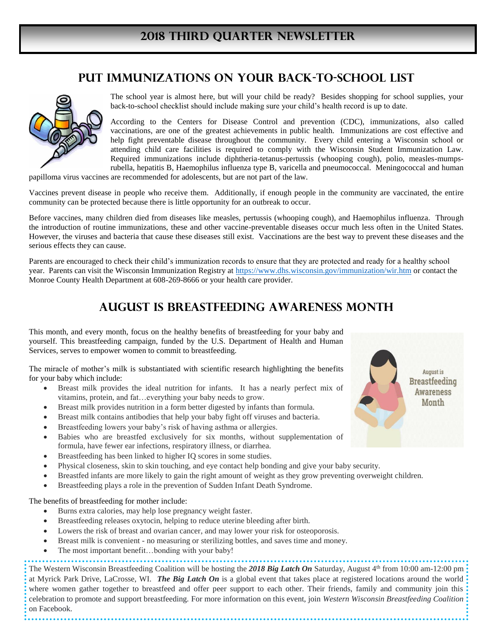## **Put Immunizations on Your Back-To-School List**



The school year is almost here, but will your child be ready? Besides shopping for school supplies, your back-to-school checklist should include making sure your child's health record is up to date.

According to the Centers for Disease Control and prevention (CDC), immunizations, also called vaccinations, are one of the greatest achievements in public health. Immunizations are cost effective and help fight preventable disease throughout the community. Every child entering a Wisconsin school or attending child care facilities is required to comply with the Wisconsin Student Immunization Law. Required immunizations include diphtheria-tetanus-pertussis (whooping cough), polio, measles-mumpsrubella, hepatitis B, Haemophilus influenza type B, varicella and pneumococcal. Meningococcal and human

papilloma virus vaccines are recommended for adolescents, but are not part of the law.

Vaccines prevent disease in people who receive them. Additionally, if enough people in the community are vaccinated, the entire community can be protected because there is little opportunity for an outbreak to occur.

Before vaccines, many children died from diseases like measles, pertussis (whooping cough), and Haemophilus influenza. Through the introduction of routine immunizations, these and other vaccine-preventable diseases occur much less often in the United States. However, the viruses and bacteria that cause these diseases still exist. Vaccinations are the best way to prevent these diseases and the serious effects they can cause.

Parents are encouraged to check their child's immunization records to ensure that they are protected and ready for a healthy school year. Parents can visit the Wisconsin Immunization Registry at<https://www.dhs.wisconsin.gov/immunization/wir.htm> or contact the Monroe County Health Department at 608-269-8666 or your health care provider.

## **August is Breastfeeding Awareness Month**

This month, and every month, focus on the healthy benefits of breastfeeding for your baby and yourself. This breastfeeding campaign, funded by the U.S. Department of Health and Human Services, serves to empower women to commit to breastfeeding.

The miracle of mother's milk is substantiated with scientific research highlighting the benefits for your baby which include:

- Breast milk provides the ideal nutrition for infants. It has a nearly perfect mix of vitamins, protein, and fat…everything your baby needs to grow.
- Breast milk provides nutrition in a form better digested by infants than formula.
- Breast milk contains antibodies that help your baby fight off viruses and bacteria.
- Breastfeeding lowers your baby's risk of having asthma or allergies.
- Babies who are breastfed exclusively for six months, without supplementation of formula, have fewer ear infections, respiratory illness, or diarrhea.
- Breastfeeding has been linked to higher IQ scores in some studies.
- Physical closeness, skin to skin touching, and eye contact help bonding and give your baby security.
- Breastfed infants are more likely to gain the right amount of weight as they grow preventing overweight children.
- Breastfeeding plays a role in the prevention of Sudden Infant Death Syndrome.

The benefits of breastfeeding for mother include:

- Burns extra calories, may help lose pregnancy weight faster.
- Breastfeeding releases oxytocin, helping to reduce uterine bleeding after birth.
- Lowers the risk of breast and ovarian cancer, and may lower your risk for osteoporosis.
- Breast milk is convenient no measuring or sterilizing bottles, and saves time and money.
- The most important benefit...bonding with your baby!

The Western Wisconsin Breastfeeding Coalition will be hosting the 2018 Big Latch On Saturday, August 4<sup>th</sup> from 10:00 am-12:00 pm at Myrick Park Drive, LaCrosse, WI. *The Big Latch On* is a global event that takes place at registered locations around the world where women gather together to breastfeed and offer peer support to each other. Their friends, family and community join this celebration to promote and support breastfeeding. For more information on this event, join *Western Wisconsin Breastfeeding Coalition*  on Facebook.

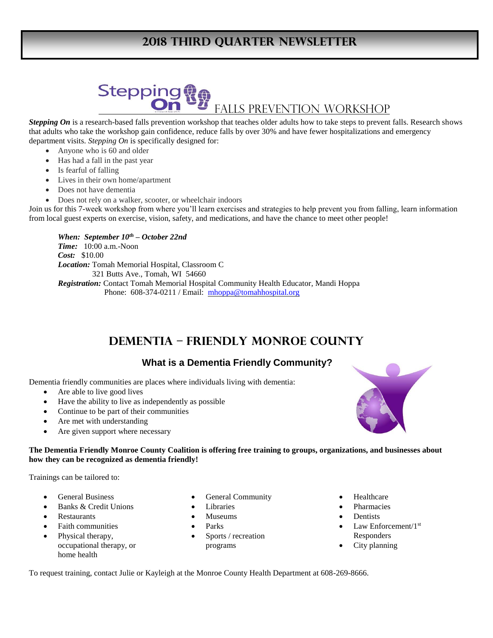## **2018 THIRD Quarter Newsletter**

# **Stepping** Falls Prevention Workshop

*Stepping On* is a research-based falls prevention workshop that teaches older adults how to take steps to prevent falls. Research shows that adults who take the workshop gain confidence, reduce falls by over 30% and have fewer hospitalizations and emergency department visits. *Stepping On* is specifically designed for:

- Anyone who is 60 and older
- Has had a fall in the past year
- Is fearful of falling
- Lives in their own home/apartment
- Does not have dementia
- Does not rely on a walker, scooter, or wheelchair indoors

Join us for this 7-week workshop from where you'll learn exercises and strategies to help prevent you from falling, learn information from local guest experts on exercise, vision, safety, and medications, and have the chance to meet other people!

*When: September 10th – October 22nd Time:* 10:00 a.m.-Noon *Cost:* \$10.00 *Location:* Tomah Memorial Hospital, Classroom C 321 Butts Ave., Tomah, WI 54660 *Registration:* Contact Tomah Memorial Hospital Community Health Educator, Mandi Hoppa Phone: 608-374-0211 / Email: [mhoppa@tomahhospital.org](mailto:mhoppa@tomahhospital.org)

## **DEMENTIA – FRIENDLY MONROE COUNTY**

### **What is a Dementia Friendly Community?**

Dementia friendly communities are places where individuals living with dementia:

- Are able to live good lives
- Have the ability to live as independently as possible
- Continue to be part of their communities
- Are met with understanding
- Are given support where necessary

#### **The Dementia Friendly Monroe County Coalition is offering free training to groups, organizations, and businesses about how they can be recognized as dementia friendly!**

Trainings can be tailored to:

- General Business
- Banks & Credit Unions
- Restaurants
- Faith communities
- Physical therapy, occupational therapy, or home health
- General Community
- Libraries
- Museums
- Parks
- Sports / recreation programs
- Healthcare
- Pharmacies
- **Dentists**
- Law Enforcement/1st Responders
- City planning

To request training, contact Julie or Kayleigh at the Monroe County Health Department at 608-269-8666.

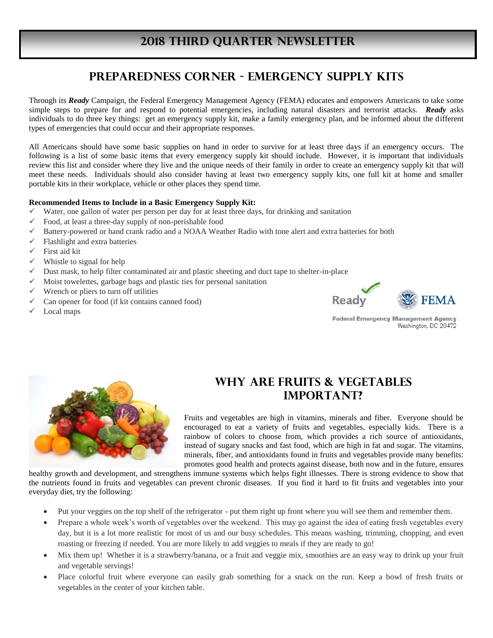# **To learn more about Men's health, facts and screening recommended, visit [www.menshealthmonth.org](http://www.menshealthmonth.org/) 2018 THIRD QUARTER NEWSLETTER**

## **Preparedness Corner - Emergency SUPPLY Kits**

Through its *Ready* Campaign, the Federal Emergency Management Agency (FEMA) educates and empowers Americans to take some simple steps to prepare for and respond to potential emergencies, including natural disasters and terrorist attacks. *Ready* asks individuals to do three key things: get an emergency supply kit, make a family emergency plan, and be informed about the different types of emergencies that could occur and their appropriate responses.

All Americans should have some basic supplies on hand in order to survive for at least three days if an emergency occurs. The following is a list of some basic items that every emergency supply kit should include. However, it is important that individuals review this list and consider where they live and the unique needs of their family in order to create an emergency supply kit that will meet these needs. Individuals should also consider having at least two emergency supply kits, one full kit at home and smaller portable kits in their workplace, vehicle or other places they spend time.

#### **Recommended Items to Include in a Basic Emergency Supply Kit:**

- Water, one gallon of water per person per day for at least three days, for drinking and sanitation
- Food, at least a three-day supply of non-perishable food
- Battery-powered or hand crank radio and a NOAA Weather Radio with tone alert and extra batteries for both
- $\checkmark$  Flashlight and extra batteries
- First aid kit
- Whistle to signal for help
- $\checkmark$  Dust mask, to help filter contaminated air and plastic sheeting and duct tape to shelter-in-place
- $\checkmark$  Moist towelettes, garbage bags and plastic ties for personal sanitation
- Wrench or pliers to turn off utilities
- $\checkmark$  Can opener for food (if kit contains canned food)
- Local maps



**Federal Emergency Management Agency** Washington, DC 20472



## **Why Are Fruits & Vegetables Important?**

Fruits and vegetables are high in vitamins, minerals and fiber. Everyone should be encouraged to eat a variety of fruits and vegetables, especially kids. There is a rainbow of colors to choose from, which provides a rich source of antioxidants, instead of sugary snacks and fast food, which are high in fat and sugar. The vitamins, minerals, fiber, and antioxidants found in fruits and vegetables provide many benefits: promotes good health and protects against disease, both now and in the future, ensures

healthy growth and development, and strengthens immune systems which helps fight illnesses. There is strong evidence to show that the nutrients found in fruits and vegetables can prevent chronic diseases. If you find it hard to fit fruits and vegetables into your everyday diet, try the following:

- Put your veggies on the top shelf of the refrigerator put them right up front where you will see them and remember them.
- Prepare a whole week's worth of vegetables over the weekend. This may go against the idea of eating fresh vegetables every day, but it is a lot more realistic for most of us and our busy schedules. This means washing, trimming, chopping, and even roasting or freezing if needed. You are more likely to add veggies to meals if they are ready to go!
- Mix them up! Whether it is a strawberry/banana, or a fruit and veggie mix, smoothies are an easy way to drink up your fruit and vegetable servings!
- Place colorful fruit where everyone can easily grab something for a snack on the run. Keep a bowl of fresh fruits or vegetables in the center of your kitchen table.